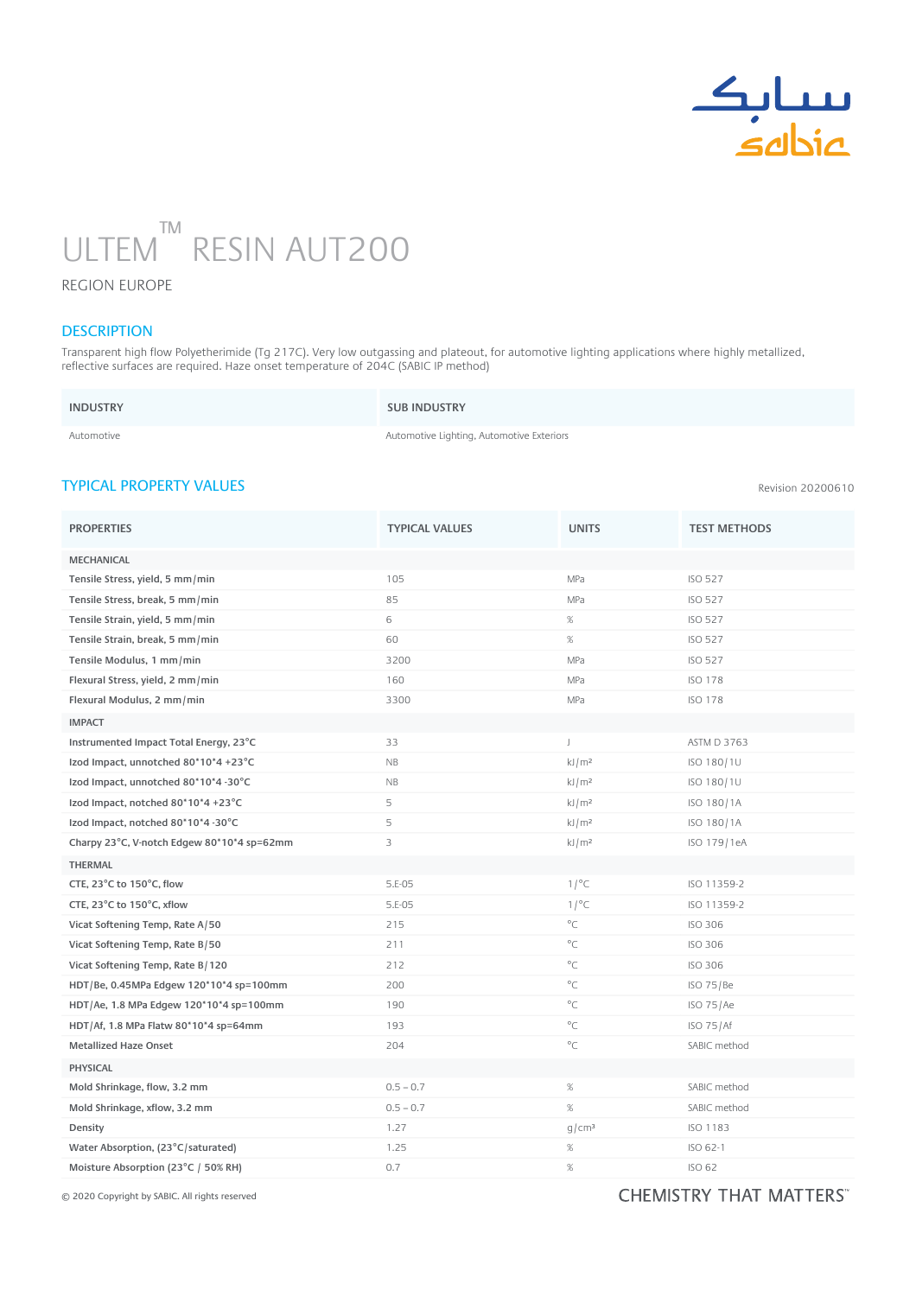

# ULTEM RESIN AUT200 ™ n

#### REGION EUROPE

### **DESCRIPTION**

Transparent high flow Polyetherimide (Tg 217C). Very low outgassing and plateout, for automotive lighting applications where highly metallized, reflective surfaces are required. Haze onset temperature of 204C (SABIC IP method)

| <b>INDUSTRY</b> | <b>SUB INDUSTRY</b> |
|-----------------|---------------------|
| Automotive      | Automotive Lighting |

e Lighting, Automotive Exteriors

## TYPICAL PROPERTY VALUES

| <b>PROPERTIES</b>                          | <b>TYPICAL VALUES</b> | <b>UNITS</b>      | <b>TEST METHODS</b> |
|--------------------------------------------|-----------------------|-------------------|---------------------|
| <b>MECHANICAL</b>                          |                       |                   |                     |
| Tensile Stress, yield, 5 mm/min            | 105                   | MPa               | <b>ISO 527</b>      |
| Tensile Stress, break, 5 mm/min            | 85                    | MPa               | <b>ISO 527</b>      |
| Tensile Strain, yield, 5 mm/min            | 6                     | $\%$              | <b>ISO 527</b>      |
| Tensile Strain, break, 5 mm/min            | 60                    | $\%$              | <b>ISO 527</b>      |
| Tensile Modulus, 1 mm/min                  | 3200                  | MPa               | <b>ISO 527</b>      |
| Flexural Stress, yield, 2 mm/min           | 160                   | MPa               | <b>ISO 178</b>      |
| Flexural Modulus, 2 mm/min                 | 3300                  | MPa               | <b>ISO 178</b>      |
| <b>IMPACT</b>                              |                       |                   |                     |
| Instrumented Impact Total Energy, 23°C     | 33                    | J                 | <b>ASTM D 3763</b>  |
| Izod Impact, unnotched 80*10*4 +23°C       | NB                    | kJ/m <sup>2</sup> | ISO 180/1U          |
| Izod Impact, unnotched 80*10*4 -30°C       | NB                    | kJ/m <sup>2</sup> | ISO 180/1U          |
| Izod Impact, notched 80*10*4 +23°C         | 5                     | kJ/m <sup>2</sup> | ISO 180/1A          |
| Izod Impact, notched 80*10*4 -30°C         | 5                     | kJ/m <sup>2</sup> | ISO 180/1A          |
| Charpy 23°C, V-notch Edgew 80*10*4 sp=62mm | 3                     | kJ/m <sup>2</sup> | ISO 179/1eA         |
| <b>THERMAL</b>                             |                       |                   |                     |
| CTE, 23°C to 150°C, flow                   | 5.E-05                | 1/°C              | ISO 11359-2         |
| CTE, 23°C to 150°C, xflow                  | 5.E-05                | 1/°C              | ISO 11359-2         |
| Vicat Softening Temp, Rate A/50            | 215                   | $^{\circ}$ C      | <b>ISO 306</b>      |
| Vicat Softening Temp, Rate B/50            | 211                   | $^{\circ}$ C      | <b>ISO 306</b>      |
| Vicat Softening Temp, Rate B/120           | 212                   | $^{\circ}$ C      | <b>ISO 306</b>      |
| HDT/Be, 0.45MPa Edgew 120*10*4 sp=100mm    | 200                   | $^{\circ}$ C      | ISO 75/Be           |
| HDT/Ae, 1.8 MPa Edgew 120*10*4 sp=100mm    | 190                   | $^{\circ}$ C      | ISO 75/Ae           |
| HDT/Af, 1.8 MPa Flatw 80*10*4 sp=64mm      | 193                   | $^{\circ}$ C      | ISO 75/Af           |
| <b>Metallized Haze Onset</b>               | 204                   | $^{\circ}$ C      | SABIC method        |
| <b>PHYSICAL</b>                            |                       |                   |                     |
| Mold Shrinkage, flow, 3.2 mm               | $0.5 - 0.7$           | $\%$              | SABIC method        |
| Mold Shrinkage, xflow, 3.2 mm              | $0.5 - 0.7$           | $\%$              | SABIC method        |
| Density                                    | 1.27                  | g/cm <sup>3</sup> | ISO 1183            |
| Water Absorption, (23°C/saturated)         | 1.25                  | $\%$              | ISO 62-1            |
| Moisture Absorption (23°C / 50% RH)        | 0.7                   | $\%$              | ISO 62              |

© 2020 Copyright by SABIC. All rights reserved

# CHEMISTRY THAT MATTERS"

Revision 20200610